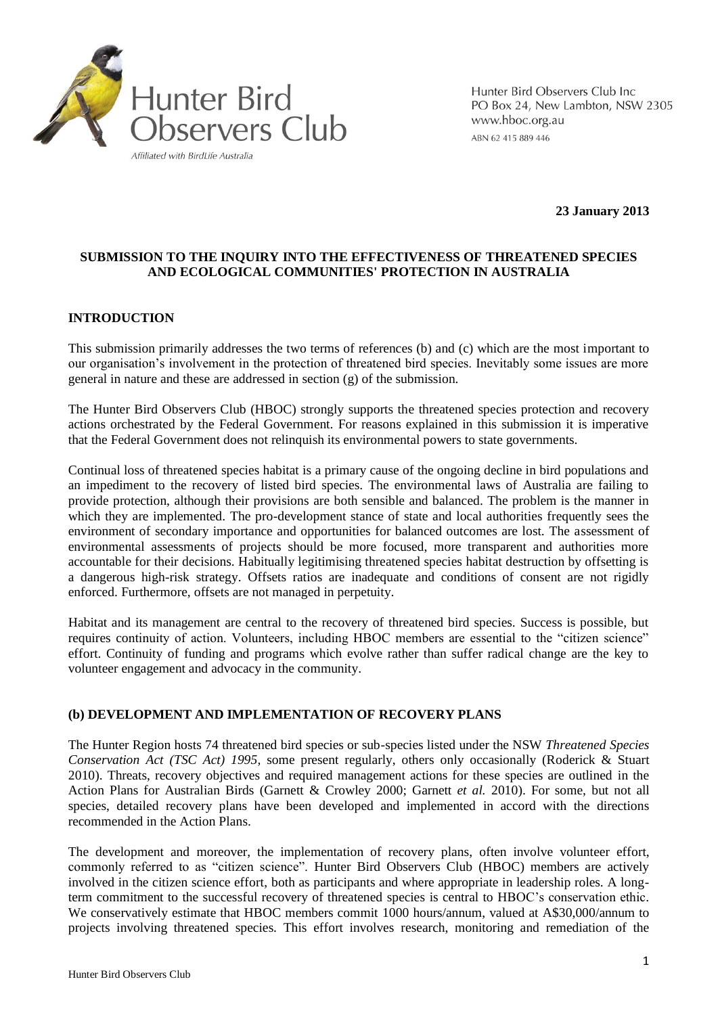

Hunter Bird Observers Club Inc PO Box 24, New Lambton, NSW 2305 www.hboc.org.au ABN 62 415 889 446

**23 January 2013**

# **SUBMISSION TO THE INQUIRY INTO THE EFFECTIVENESS OF THREATENED SPECIES AND ECOLOGICAL COMMUNITIES' PROTECTION IN AUSTRALIA**

# **INTRODUCTION**

This submission primarily addresses the two terms of references (b) and (c) which are the most important to our organisation's involvement in the protection of threatened bird species. Inevitably some issues are more general in nature and these are addressed in section (g) of the submission.

The Hunter Bird Observers Club (HBOC) strongly supports the threatened species protection and recovery actions orchestrated by the Federal Government. For reasons explained in this submission it is imperative that the Federal Government does not relinquish its environmental powers to state governments.

Continual loss of threatened species habitat is a primary cause of the ongoing decline in bird populations and an impediment to the recovery of listed bird species. The environmental laws of Australia are failing to provide protection, although their provisions are both sensible and balanced. The problem is the manner in which they are implemented. The pro-development stance of state and local authorities frequently sees the environment of secondary importance and opportunities for balanced outcomes are lost. The assessment of environmental assessments of projects should be more focused, more transparent and authorities more accountable for their decisions. Habitually legitimising threatened species habitat destruction by offsetting is a dangerous high-risk strategy. Offsets ratios are inadequate and conditions of consent are not rigidly enforced. Furthermore, offsets are not managed in perpetuity.

Habitat and its management are central to the recovery of threatened bird species. Success is possible, but requires continuity of action. Volunteers, including HBOC members are essential to the "citizen science" effort. Continuity of funding and programs which evolve rather than suffer radical change are the key to volunteer engagement and advocacy in the community.

# **(b) DEVELOPMENT AND IMPLEMENTATION OF RECOVERY PLANS**

The Hunter Region hosts 74 threatened bird species or sub-species listed under the NSW *Threatened Species Conservation Act (TSC Act) 1995,* some present regularly, others only occasionally (Roderick & Stuart 2010). Threats, recovery objectives and required management actions for these species are outlined in the Action Plans for Australian Birds (Garnett & Crowley 2000; Garnett *et al.* 2010). For some, but not all species, detailed recovery plans have been developed and implemented in accord with the directions recommended in the Action Plans.

The development and moreover, the implementation of recovery plans, often involve volunteer effort, commonly referred to as "citizen science". Hunter Bird Observers Club (HBOC) members are actively involved in the citizen science effort, both as participants and where appropriate in leadership roles. A longterm commitment to the successful recovery of threatened species is central to HBOC's conservation ethic. We conservatively estimate that HBOC members commit 1000 hours/annum, valued at A\$30,000/annum to projects involving threatened species. This effort involves research, monitoring and remediation of the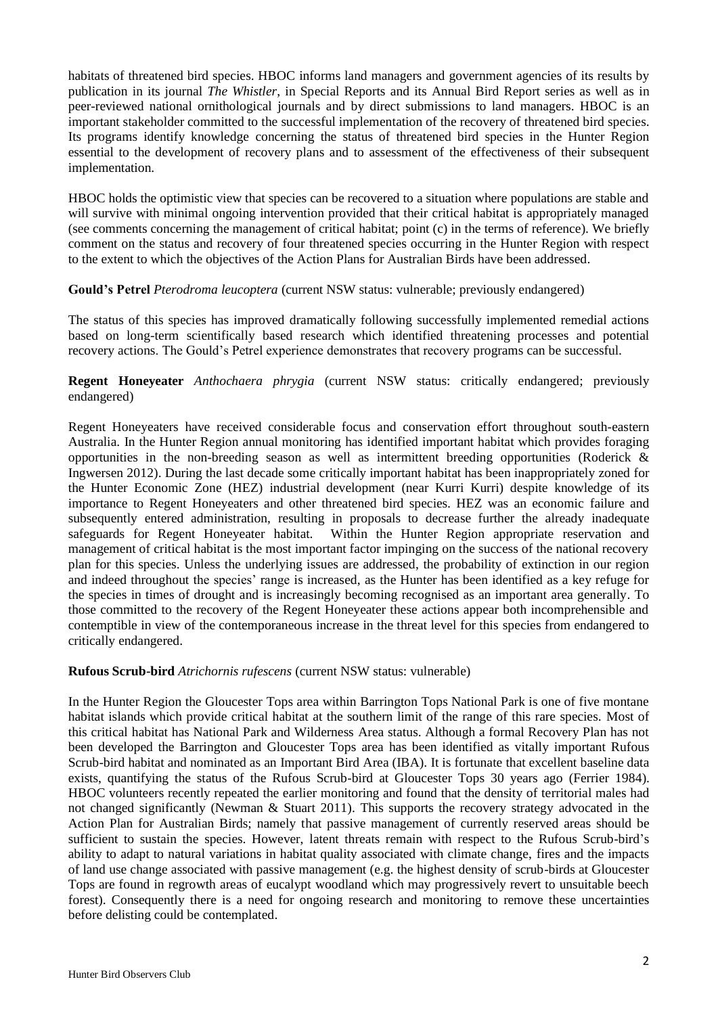habitats of threatened bird species. HBOC informs land managers and government agencies of its results by publication in its journal *The Whistler*, in Special Reports and its Annual Bird Report series as well as in peer-reviewed national ornithological journals and by direct submissions to land managers. HBOC is an important stakeholder committed to the successful implementation of the recovery of threatened bird species. Its programs identify knowledge concerning the status of threatened bird species in the Hunter Region essential to the development of recovery plans and to assessment of the effectiveness of their subsequent implementation.

HBOC holds the optimistic view that species can be recovered to a situation where populations are stable and will survive with minimal ongoing intervention provided that their critical habitat is appropriately managed (see comments concerning the management of critical habitat; point (c) in the terms of reference). We briefly comment on the status and recovery of four threatened species occurring in the Hunter Region with respect to the extent to which the objectives of the Action Plans for Australian Birds have been addressed.

# **Gould's Petrel** *Pterodroma leucoptera* (current NSW status: vulnerable; previously endangered)

The status of this species has improved dramatically following successfully implemented remedial actions based on long-term scientifically based research which identified threatening processes and potential recovery actions. The Gould's Petrel experience demonstrates that recovery programs can be successful.

**Regent Honeyeater** *Anthochaera phrygia* (current NSW status: critically endangered; previously endangered)

Regent Honeyeaters have received considerable focus and conservation effort throughout south-eastern Australia. In the Hunter Region annual monitoring has identified important habitat which provides foraging opportunities in the non-breeding season as well as intermittent breeding opportunities (Roderick & Ingwersen 2012). During the last decade some critically important habitat has been inappropriately zoned for the Hunter Economic Zone (HEZ) industrial development (near Kurri Kurri) despite knowledge of its importance to Regent Honeyeaters and other threatened bird species. HEZ was an economic failure and subsequently entered administration, resulting in proposals to decrease further the already inadequate safeguards for Regent Honeyeater habitat. Within the Hunter Region appropriate reservation and management of critical habitat is the most important factor impinging on the success of the national recovery plan for this species. Unless the underlying issues are addressed, the probability of extinction in our region and indeed throughout the species' range is increased, as the Hunter has been identified as a key refuge for the species in times of drought and is increasingly becoming recognised as an important area generally. To those committed to the recovery of the Regent Honeyeater these actions appear both incomprehensible and contemptible in view of the contemporaneous increase in the threat level for this species from endangered to critically endangered.

## **Rufous Scrub-bird** *Atrichornis rufescens* (current NSW status: vulnerable)

In the Hunter Region the Gloucester Tops area within Barrington Tops National Park is one of five montane habitat islands which provide critical habitat at the southern limit of the range of this rare species. Most of this critical habitat has National Park and Wilderness Area status. Although a formal Recovery Plan has not been developed the Barrington and Gloucester Tops area has been identified as vitally important Rufous Scrub-bird habitat and nominated as an Important Bird Area (IBA). It is fortunate that excellent baseline data exists, quantifying the status of the Rufous Scrub-bird at Gloucester Tops 30 years ago (Ferrier 1984). HBOC volunteers recently repeated the earlier monitoring and found that the density of territorial males had not changed significantly (Newman & Stuart 2011). This supports the recovery strategy advocated in the Action Plan for Australian Birds; namely that passive management of currently reserved areas should be sufficient to sustain the species. However, latent threats remain with respect to the Rufous Scrub-bird's ability to adapt to natural variations in habitat quality associated with climate change, fires and the impacts of land use change associated with passive management (e.g. the highest density of scrub-birds at Gloucester Tops are found in regrowth areas of eucalypt woodland which may progressively revert to unsuitable beech forest). Consequently there is a need for ongoing research and monitoring to remove these uncertainties before delisting could be contemplated.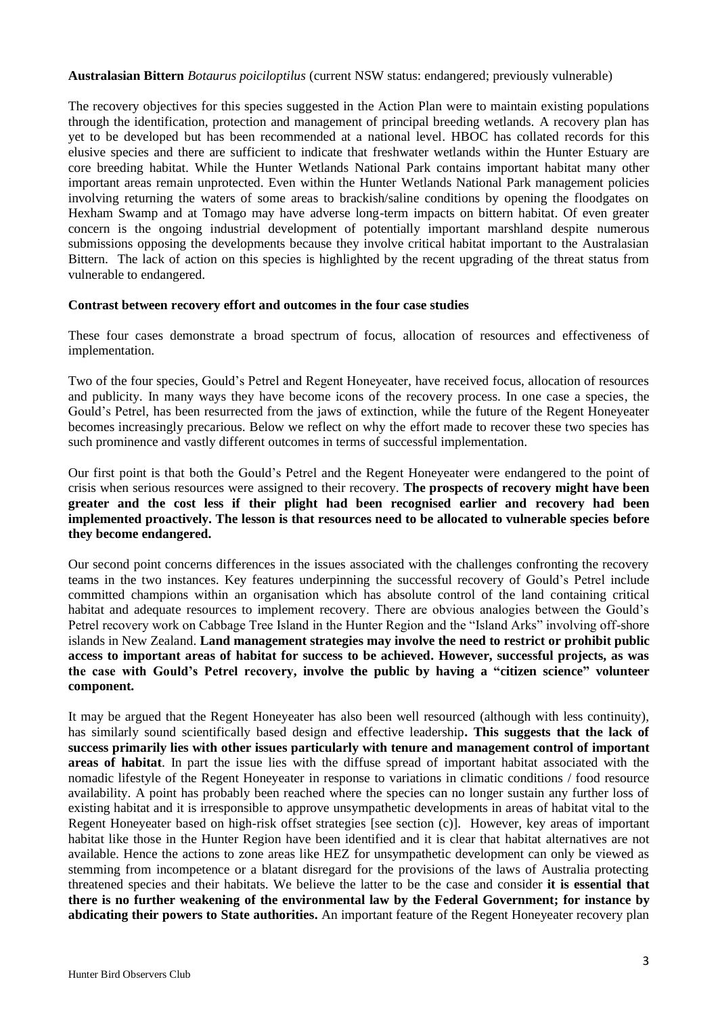#### **Australasian Bittern** *Botaurus poiciloptilus* (current NSW status: endangered; previously vulnerable)

The recovery objectives for this species suggested in the Action Plan were to maintain existing populations through the identification, protection and management of principal breeding wetlands. A recovery plan has yet to be developed but has been recommended at a national level. HBOC has collated records for this elusive species and there are sufficient to indicate that freshwater wetlands within the Hunter Estuary are core breeding habitat. While the Hunter Wetlands National Park contains important habitat many other important areas remain unprotected. Even within the Hunter Wetlands National Park management policies involving returning the waters of some areas to brackish/saline conditions by opening the floodgates on Hexham Swamp and at Tomago may have adverse long-term impacts on bittern habitat. Of even greater concern is the ongoing industrial development of potentially important marshland despite numerous submissions opposing the developments because they involve critical habitat important to the Australasian Bittern. The lack of action on this species is highlighted by the recent upgrading of the threat status from vulnerable to endangered.

## **Contrast between recovery effort and outcomes in the four case studies**

These four cases demonstrate a broad spectrum of focus, allocation of resources and effectiveness of implementation.

Two of the four species, Gould's Petrel and Regent Honeyeater, have received focus, allocation of resources and publicity. In many ways they have become icons of the recovery process. In one case a species, the Gould's Petrel, has been resurrected from the jaws of extinction, while the future of the Regent Honeyeater becomes increasingly precarious. Below we reflect on why the effort made to recover these two species has such prominence and vastly different outcomes in terms of successful implementation.

Our first point is that both the Gould's Petrel and the Regent Honeyeater were endangered to the point of crisis when serious resources were assigned to their recovery. **The prospects of recovery might have been greater and the cost less if their plight had been recognised earlier and recovery had been implemented proactively. The lesson is that resources need to be allocated to vulnerable species before they become endangered.**

Our second point concerns differences in the issues associated with the challenges confronting the recovery teams in the two instances. Key features underpinning the successful recovery of Gould's Petrel include committed champions within an organisation which has absolute control of the land containing critical habitat and adequate resources to implement recovery. There are obvious analogies between the Gould's Petrel recovery work on Cabbage Tree Island in the Hunter Region and the "Island Arks" involving off-shore islands in New Zealand. **Land management strategies may involve the need to restrict or prohibit public access to important areas of habitat for success to be achieved. However, successful projects, as was the case with Gould's Petrel recovery, involve the public by having a "citizen science" volunteer component.**

It may be argued that the Regent Honeyeater has also been well resourced (although with less continuity), has similarly sound scientifically based design and effective leadership**. This suggests that the lack of success primarily lies with other issues particularly with tenure and management control of important areas of habitat**. In part the issue lies with the diffuse spread of important habitat associated with the nomadic lifestyle of the Regent Honeyeater in response to variations in climatic conditions / food resource availability. A point has probably been reached where the species can no longer sustain any further loss of existing habitat and it is irresponsible to approve unsympathetic developments in areas of habitat vital to the Regent Honeyeater based on high-risk offset strategies [see section (c)]. However, key areas of important habitat like those in the Hunter Region have been identified and it is clear that habitat alternatives are not available. Hence the actions to zone areas like HEZ for unsympathetic development can only be viewed as stemming from incompetence or a blatant disregard for the provisions of the laws of Australia protecting threatened species and their habitats. We believe the latter to be the case and consider **it is essential that there is no further weakening of the environmental law by the Federal Government; for instance by abdicating their powers to State authorities.** An important feature of the Regent Honeyeater recovery plan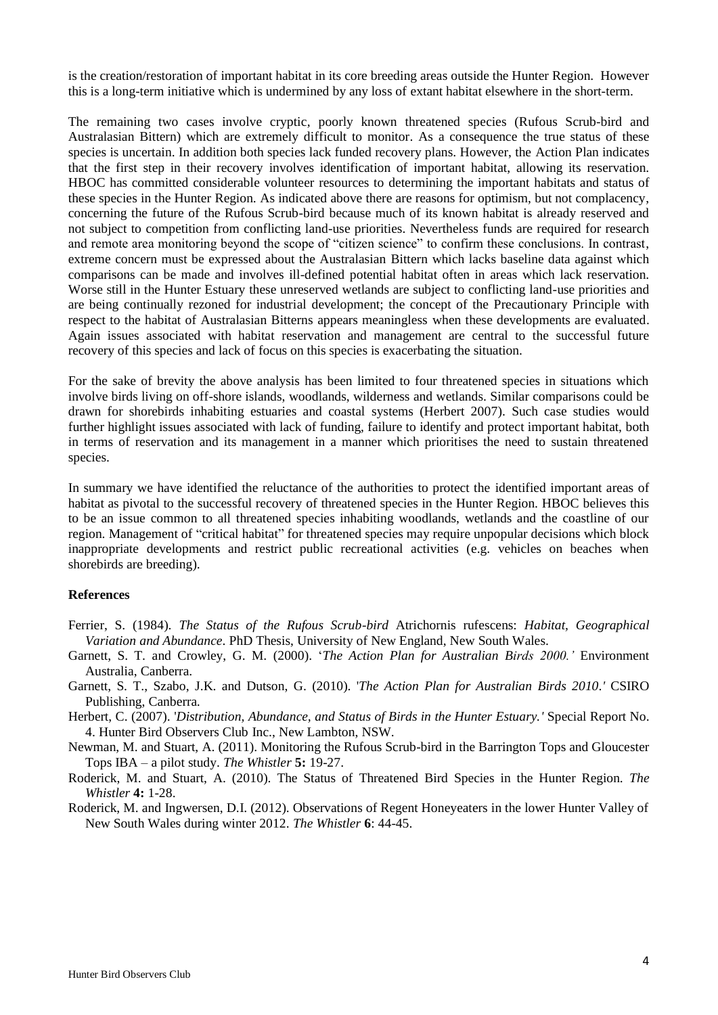is the creation/restoration of important habitat in its core breeding areas outside the Hunter Region. However this is a long-term initiative which is undermined by any loss of extant habitat elsewhere in the short-term.

The remaining two cases involve cryptic, poorly known threatened species (Rufous Scrub-bird and Australasian Bittern) which are extremely difficult to monitor. As a consequence the true status of these species is uncertain. In addition both species lack funded recovery plans. However, the Action Plan indicates that the first step in their recovery involves identification of important habitat, allowing its reservation. HBOC has committed considerable volunteer resources to determining the important habitats and status of these species in the Hunter Region. As indicated above there are reasons for optimism, but not complacency, concerning the future of the Rufous Scrub-bird because much of its known habitat is already reserved and not subject to competition from conflicting land-use priorities. Nevertheless funds are required for research and remote area monitoring beyond the scope of "citizen science" to confirm these conclusions. In contrast, extreme concern must be expressed about the Australasian Bittern which lacks baseline data against which comparisons can be made and involves ill-defined potential habitat often in areas which lack reservation. Worse still in the Hunter Estuary these unreserved wetlands are subject to conflicting land-use priorities and are being continually rezoned for industrial development; the concept of the Precautionary Principle with respect to the habitat of Australasian Bitterns appears meaningless when these developments are evaluated. Again issues associated with habitat reservation and management are central to the successful future recovery of this species and lack of focus on this species is exacerbating the situation.

For the sake of brevity the above analysis has been limited to four threatened species in situations which involve birds living on off-shore islands, woodlands, wilderness and wetlands. Similar comparisons could be drawn for shorebirds inhabiting estuaries and coastal systems (Herbert 2007). Such case studies would further highlight issues associated with lack of funding, failure to identify and protect important habitat, both in terms of reservation and its management in a manner which prioritises the need to sustain threatened species.

In summary we have identified the reluctance of the authorities to protect the identified important areas of habitat as pivotal to the successful recovery of threatened species in the Hunter Region. HBOC believes this to be an issue common to all threatened species inhabiting woodlands, wetlands and the coastline of our region. Management of "critical habitat" for threatened species may require unpopular decisions which block inappropriate developments and restrict public recreational activities (e.g. vehicles on beaches when shorebirds are breeding).

#### **References**

- Ferrier, S. (1984). *The Status of the Rufous Scrub-bird* Atrichornis rufescens: *Habitat, Geographical Variation and Abundance*. PhD Thesis, University of New England, New South Wales.
- Garnett, S. T. and Crowley, G. M. (2000). '*The Action Plan for Australian Birds 2000.'* Environment Australia, Canberra.
- Garnett, S. T., Szabo, J.K. and Dutson, G. (2010). '*The Action Plan for Australian Birds 2010.'* CSIRO Publishing, Canberra*.*
- Herbert, C. (2007). '*Distribution, Abundance, and Status of Birds in the Hunter Estuary.'* Special Report No. 4. Hunter Bird Observers Club Inc., New Lambton, NSW.
- Newman, M. and Stuart, A. (2011). Monitoring the Rufous Scrub-bird in the Barrington Tops and Gloucester Tops IBA – a pilot study. *The Whistler* **5:** 19-27.
- Roderick, M. and Stuart, A. (2010). The Status of Threatened Bird Species in the Hunter Region. *The Whistler* **4:** 1-28.
- Roderick, M. and Ingwersen, D.I. (2012). Observations of Regent Honeyeaters in the lower Hunter Valley of New South Wales during winter 2012. *The Whistler* **6**: 44-45.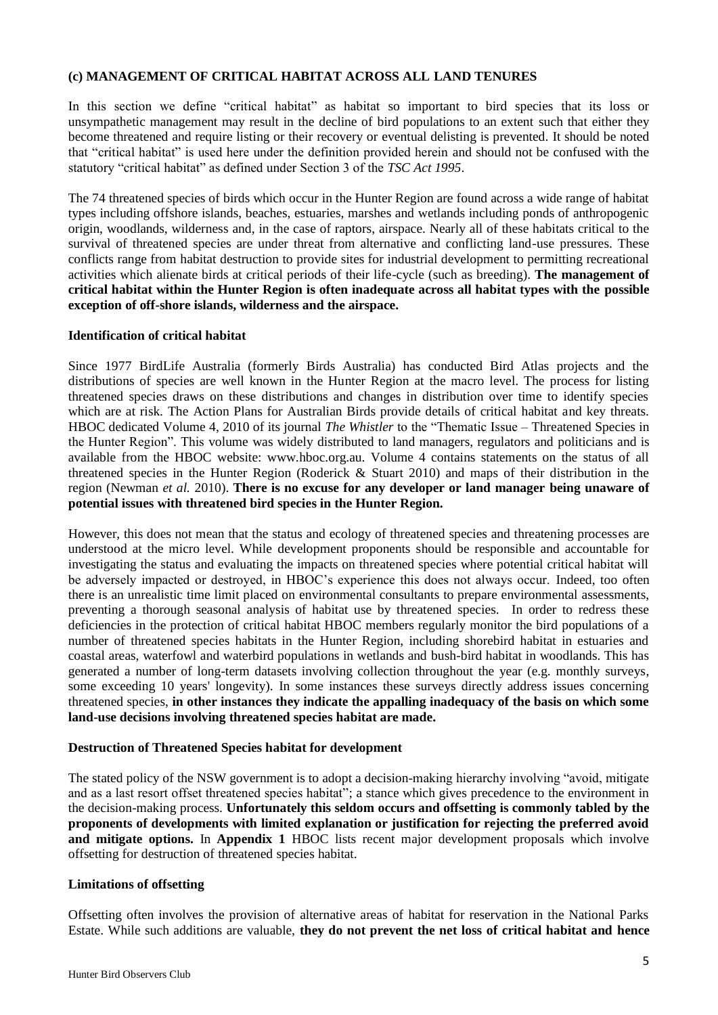# **(c) MANAGEMENT OF CRITICAL HABITAT ACROSS ALL LAND TENURES**

In this section we define "critical habitat" as habitat so important to bird species that its loss or unsympathetic management may result in the decline of bird populations to an extent such that either they become threatened and require listing or their recovery or eventual delisting is prevented. It should be noted that "critical habitat" is used here under the definition provided herein and should not be confused with the statutory "critical habitat" as defined under Section 3 of the *TSC Act 1995*.

The 74 threatened species of birds which occur in the Hunter Region are found across a wide range of habitat types including offshore islands, beaches, estuaries, marshes and wetlands including ponds of anthropogenic origin, woodlands, wilderness and, in the case of raptors, airspace. Nearly all of these habitats critical to the survival of threatened species are under threat from alternative and conflicting land-use pressures. These conflicts range from habitat destruction to provide sites for industrial development to permitting recreational activities which alienate birds at critical periods of their life-cycle (such as breeding). **The management of critical habitat within the Hunter Region is often inadequate across all habitat types with the possible exception of off-shore islands, wilderness and the airspace.**

## **Identification of critical habitat**

Since 1977 BirdLife Australia (formerly Birds Australia) has conducted Bird Atlas projects and the distributions of species are well known in the Hunter Region at the macro level. The process for listing threatened species draws on these distributions and changes in distribution over time to identify species which are at risk. The Action Plans for Australian Birds provide details of critical habitat and key threats. HBOC dedicated Volume 4, 2010 of its journal *The Whistler* to the "Thematic Issue – Threatened Species in the Hunter Region". This volume was widely distributed to land managers, regulators and politicians and is available from the HBOC website: www.hboc.org.au. Volume 4 contains statements on the status of all threatened species in the Hunter Region (Roderick & Stuart 2010) and maps of their distribution in the region (Newman *et al.* 2010). **There is no excuse for any developer or land manager being unaware of potential issues with threatened bird species in the Hunter Region.**

However, this does not mean that the status and ecology of threatened species and threatening processes are understood at the micro level. While development proponents should be responsible and accountable for investigating the status and evaluating the impacts on threatened species where potential critical habitat will be adversely impacted or destroyed, in HBOC's experience this does not always occur. Indeed, too often there is an unrealistic time limit placed on environmental consultants to prepare environmental assessments, preventing a thorough seasonal analysis of habitat use by threatened species. In order to redress these deficiencies in the protection of critical habitat HBOC members regularly monitor the bird populations of a number of threatened species habitats in the Hunter Region, including shorebird habitat in estuaries and coastal areas, waterfowl and waterbird populations in wetlands and bush-bird habitat in woodlands. This has generated a number of long-term datasets involving collection throughout the year (e.g. monthly surveys, some exceeding 10 years' longevity). In some instances these surveys directly address issues concerning threatened species, **in other instances they indicate the appalling inadequacy of the basis on which some land-use decisions involving threatened species habitat are made.**

## **Destruction of Threatened Species habitat for development**

The stated policy of the NSW government is to adopt a decision-making hierarchy involving "avoid, mitigate and as a last resort offset threatened species habitat"; a stance which gives precedence to the environment in the decision-making process. **Unfortunately this seldom occurs and offsetting is commonly tabled by the proponents of developments with limited explanation or justification for rejecting the preferred avoid and mitigate options.** In **Appendix 1** HBOC lists recent major development proposals which involve offsetting for destruction of threatened species habitat.

## **Limitations of offsetting**

Offsetting often involves the provision of alternative areas of habitat for reservation in the National Parks Estate. While such additions are valuable, **they do not prevent the net loss of critical habitat and hence**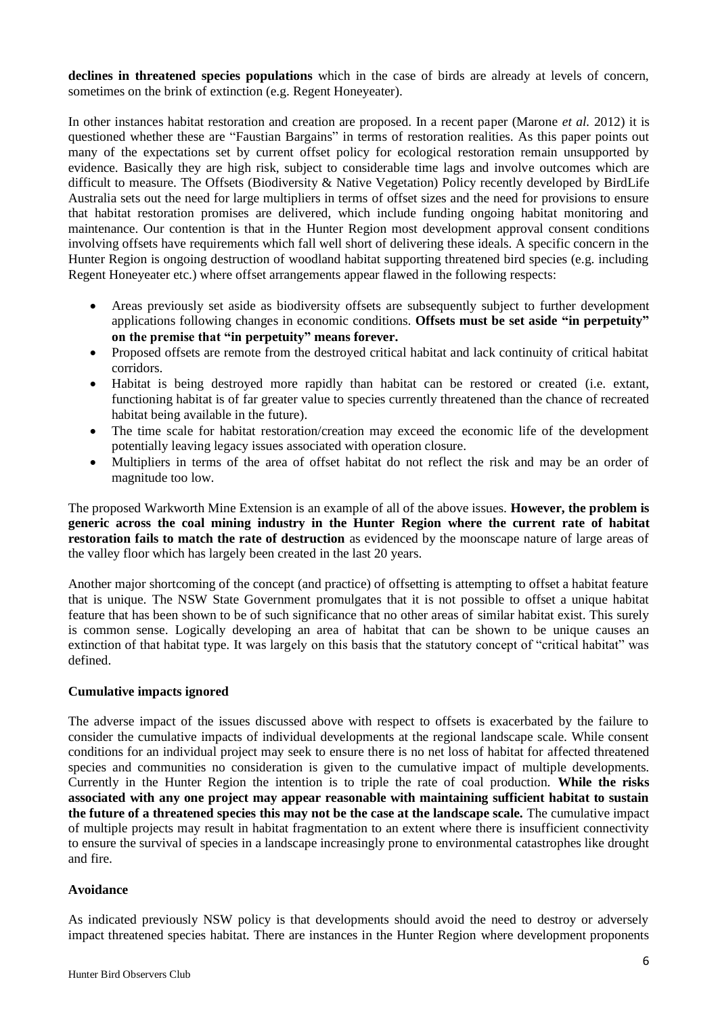**declines in threatened species populations** which in the case of birds are already at levels of concern, sometimes on the brink of extinction (e.g. Regent Honeyeater).

In other instances habitat restoration and creation are proposed. In a recent paper (Marone *et al.* 2012) it is questioned whether these are "Faustian Bargains" in terms of restoration realities. As this paper points out many of the expectations set by current offset policy for ecological restoration remain unsupported by evidence. Basically they are high risk, subject to considerable time lags and involve outcomes which are difficult to measure. The Offsets (Biodiversity & Native Vegetation) Policy recently developed by BirdLife Australia sets out the need for large multipliers in terms of offset sizes and the need for provisions to ensure that habitat restoration promises are delivered, which include funding ongoing habitat monitoring and maintenance. Our contention is that in the Hunter Region most development approval consent conditions involving offsets have requirements which fall well short of delivering these ideals. A specific concern in the Hunter Region is ongoing destruction of woodland habitat supporting threatened bird species (e.g. including Regent Honeyeater etc.) where offset arrangements appear flawed in the following respects:

- Areas previously set aside as biodiversity offsets are subsequently subject to further development applications following changes in economic conditions. **Offsets must be set aside "in perpetuity" on the premise that "in perpetuity" means forever.**
- Proposed offsets are remote from the destroyed critical habitat and lack continuity of critical habitat corridors.
- Habitat is being destroyed more rapidly than habitat can be restored or created (i.e. extant, functioning habitat is of far greater value to species currently threatened than the chance of recreated habitat being available in the future).
- The time scale for habitat restoration/creation may exceed the economic life of the development potentially leaving legacy issues associated with operation closure.
- Multipliers in terms of the area of offset habitat do not reflect the risk and may be an order of magnitude too low.

The proposed Warkworth Mine Extension is an example of all of the above issues. **However, the problem is generic across the coal mining industry in the Hunter Region where the current rate of habitat restoration fails to match the rate of destruction** as evidenced by the moonscape nature of large areas of the valley floor which has largely been created in the last 20 years.

Another major shortcoming of the concept (and practice) of offsetting is attempting to offset a habitat feature that is unique. The NSW State Government promulgates that it is not possible to offset a unique habitat feature that has been shown to be of such significance that no other areas of similar habitat exist. This surely is common sense. Logically developing an area of habitat that can be shown to be unique causes an extinction of that habitat type. It was largely on this basis that the statutory concept of "critical habitat" was defined.

## **Cumulative impacts ignored**

The adverse impact of the issues discussed above with respect to offsets is exacerbated by the failure to consider the cumulative impacts of individual developments at the regional landscape scale. While consent conditions for an individual project may seek to ensure there is no net loss of habitat for affected threatened species and communities no consideration is given to the cumulative impact of multiple developments. Currently in the Hunter Region the intention is to triple the rate of coal production. **While the risks associated with any one project may appear reasonable with maintaining sufficient habitat to sustain the future of a threatened species this may not be the case at the landscape scale.** The cumulative impact of multiple projects may result in habitat fragmentation to an extent where there is insufficient connectivity to ensure the survival of species in a landscape increasingly prone to environmental catastrophes like drought and fire.

## **Avoidance**

As indicated previously NSW policy is that developments should avoid the need to destroy or adversely impact threatened species habitat. There are instances in the Hunter Region where development proponents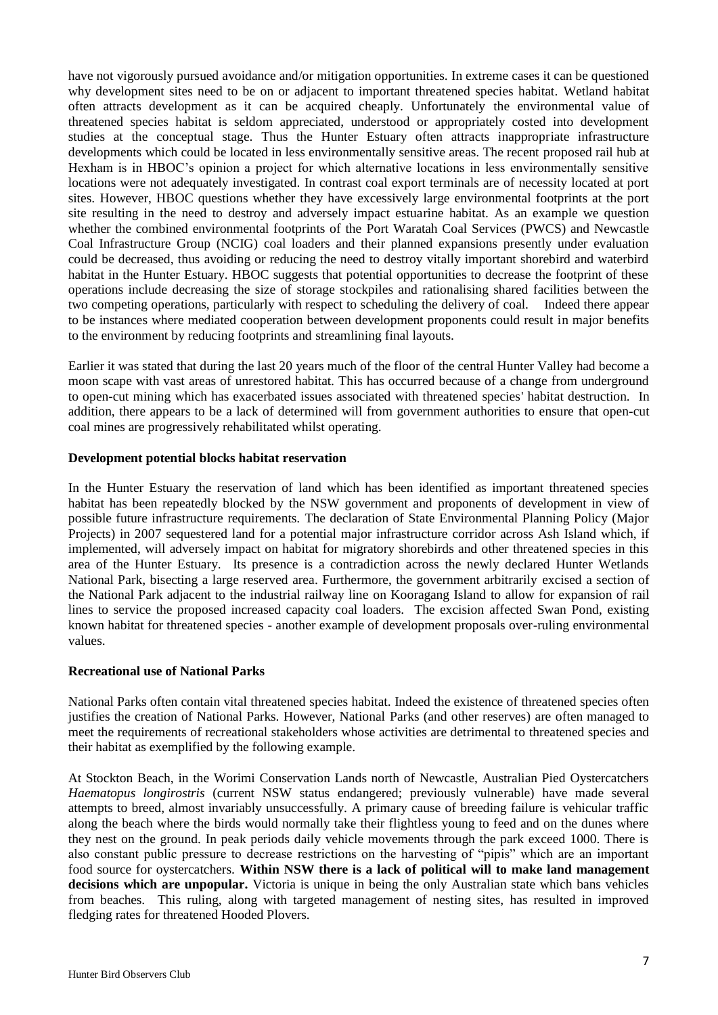have not vigorously pursued avoidance and/or mitigation opportunities. In extreme cases it can be questioned why development sites need to be on or adjacent to important threatened species habitat. Wetland habitat often attracts development as it can be acquired cheaply. Unfortunately the environmental value of threatened species habitat is seldom appreciated, understood or appropriately costed into development studies at the conceptual stage. Thus the Hunter Estuary often attracts inappropriate infrastructure developments which could be located in less environmentally sensitive areas. The recent proposed rail hub at Hexham is in HBOC's opinion a project for which alternative locations in less environmentally sensitive locations were not adequately investigated. In contrast coal export terminals are of necessity located at port sites. However, HBOC questions whether they have excessively large environmental footprints at the port site resulting in the need to destroy and adversely impact estuarine habitat. As an example we question whether the combined environmental footprints of the Port Waratah Coal Services (PWCS) and Newcastle Coal Infrastructure Group (NCIG) coal loaders and their planned expansions presently under evaluation could be decreased, thus avoiding or reducing the need to destroy vitally important shorebird and waterbird habitat in the Hunter Estuary. HBOC suggests that potential opportunities to decrease the footprint of these operations include decreasing the size of storage stockpiles and rationalising shared facilities between the two competing operations, particularly with respect to scheduling the delivery of coal. Indeed there appear to be instances where mediated cooperation between development proponents could result in major benefits to the environment by reducing footprints and streamlining final layouts.

Earlier it was stated that during the last 20 years much of the floor of the central Hunter Valley had become a moon scape with vast areas of unrestored habitat. This has occurred because of a change from underground to open-cut mining which has exacerbated issues associated with threatened species' habitat destruction. In addition, there appears to be a lack of determined will from government authorities to ensure that open-cut coal mines are progressively rehabilitated whilst operating.

## **Development potential blocks habitat reservation**

In the Hunter Estuary the reservation of land which has been identified as important threatened species habitat has been repeatedly blocked by the NSW government and proponents of development in view of possible future infrastructure requirements. The declaration of State Environmental Planning Policy (Major Projects) in 2007 sequestered land for a potential major infrastructure corridor across Ash Island which, if implemented, will adversely impact on habitat for migratory shorebirds and other threatened species in this area of the Hunter Estuary. Its presence is a contradiction across the newly declared Hunter Wetlands National Park, bisecting a large reserved area. Furthermore, the government arbitrarily excised a section of the National Park adjacent to the industrial railway line on Kooragang Island to allow for expansion of rail lines to service the proposed increased capacity coal loaders. The excision affected Swan Pond, existing known habitat for threatened species - another example of development proposals over-ruling environmental values.

#### **Recreational use of National Parks**

National Parks often contain vital threatened species habitat. Indeed the existence of threatened species often justifies the creation of National Parks. However, National Parks (and other reserves) are often managed to meet the requirements of recreational stakeholders whose activities are detrimental to threatened species and their habitat as exemplified by the following example.

At Stockton Beach, in the Worimi Conservation Lands north of Newcastle, Australian Pied Oystercatchers *Haematopus longirostris* (current NSW status endangered; previously vulnerable) have made several attempts to breed, almost invariably unsuccessfully. A primary cause of breeding failure is vehicular traffic along the beach where the birds would normally take their flightless young to feed and on the dunes where they nest on the ground. In peak periods daily vehicle movements through the park exceed 1000. There is also constant public pressure to decrease restrictions on the harvesting of "pipis" which are an important food source for oystercatchers. **Within NSW there is a lack of political will to make land management decisions which are unpopular.** Victoria is unique in being the only Australian state which bans vehicles from beaches. This ruling, along with targeted management of nesting sites, has resulted in improved fledging rates for threatened Hooded Plovers.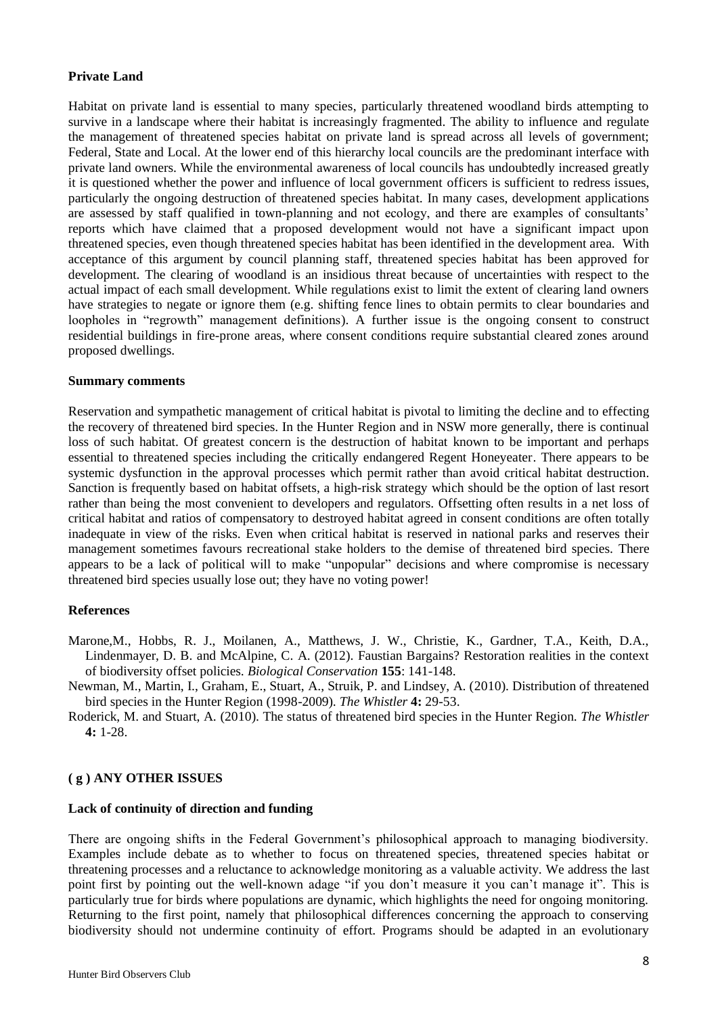## **Private Land**

Habitat on private land is essential to many species, particularly threatened woodland birds attempting to survive in a landscape where their habitat is increasingly fragmented. The ability to influence and regulate the management of threatened species habitat on private land is spread across all levels of government; Federal, State and Local. At the lower end of this hierarchy local councils are the predominant interface with private land owners. While the environmental awareness of local councils has undoubtedly increased greatly it is questioned whether the power and influence of local government officers is sufficient to redress issues, particularly the ongoing destruction of threatened species habitat. In many cases, development applications are assessed by staff qualified in town-planning and not ecology, and there are examples of consultants' reports which have claimed that a proposed development would not have a significant impact upon threatened species, even though threatened species habitat has been identified in the development area. With acceptance of this argument by council planning staff, threatened species habitat has been approved for development. The clearing of woodland is an insidious threat because of uncertainties with respect to the actual impact of each small development. While regulations exist to limit the extent of clearing land owners have strategies to negate or ignore them (e.g. shifting fence lines to obtain permits to clear boundaries and loopholes in "regrowth" management definitions). A further issue is the ongoing consent to construct residential buildings in fire-prone areas, where consent conditions require substantial cleared zones around proposed dwellings.

#### **Summary comments**

Reservation and sympathetic management of critical habitat is pivotal to limiting the decline and to effecting the recovery of threatened bird species. In the Hunter Region and in NSW more generally, there is continual loss of such habitat. Of greatest concern is the destruction of habitat known to be important and perhaps essential to threatened species including the critically endangered Regent Honeyeater. There appears to be systemic dysfunction in the approval processes which permit rather than avoid critical habitat destruction. Sanction is frequently based on habitat offsets, a high-risk strategy which should be the option of last resort rather than being the most convenient to developers and regulators. Offsetting often results in a net loss of critical habitat and ratios of compensatory to destroyed habitat agreed in consent conditions are often totally inadequate in view of the risks. Even when critical habitat is reserved in national parks and reserves their management sometimes favours recreational stake holders to the demise of threatened bird species. There appears to be a lack of political will to make "unpopular" decisions and where compromise is necessary threatened bird species usually lose out; they have no voting power!

## **References**

- Marone,M., Hobbs, R. J., Moilanen, A., Matthews, J. W., Christie, K., Gardner, T.A., Keith, D.A., Lindenmayer, D. B. and McAlpine, C. A. (2012). Faustian Bargains? Restoration realities in the context of biodiversity offset policies. *Biological Conservation* **155**: 141-148.
- Newman, M., Martin, I., Graham, E., Stuart, A., Struik, P. and Lindsey, A. (2010). Distribution of threatened bird species in the Hunter Region (1998-2009). *The Whistler* **4:** 29-53.
- Roderick, M. and Stuart, A. (2010). The status of threatened bird species in the Hunter Region. *The Whistler*  **4:** 1-28.

## **( g ) ANY OTHER ISSUES**

#### **Lack of continuity of direction and funding**

There are ongoing shifts in the Federal Government's philosophical approach to managing biodiversity. Examples include debate as to whether to focus on threatened species, threatened species habitat or threatening processes and a reluctance to acknowledge monitoring as a valuable activity. We address the last point first by pointing out the well-known adage "if you don't measure it you can't manage it". This is particularly true for birds where populations are dynamic, which highlights the need for ongoing monitoring. Returning to the first point, namely that philosophical differences concerning the approach to conserving biodiversity should not undermine continuity of effort. Programs should be adapted in an evolutionary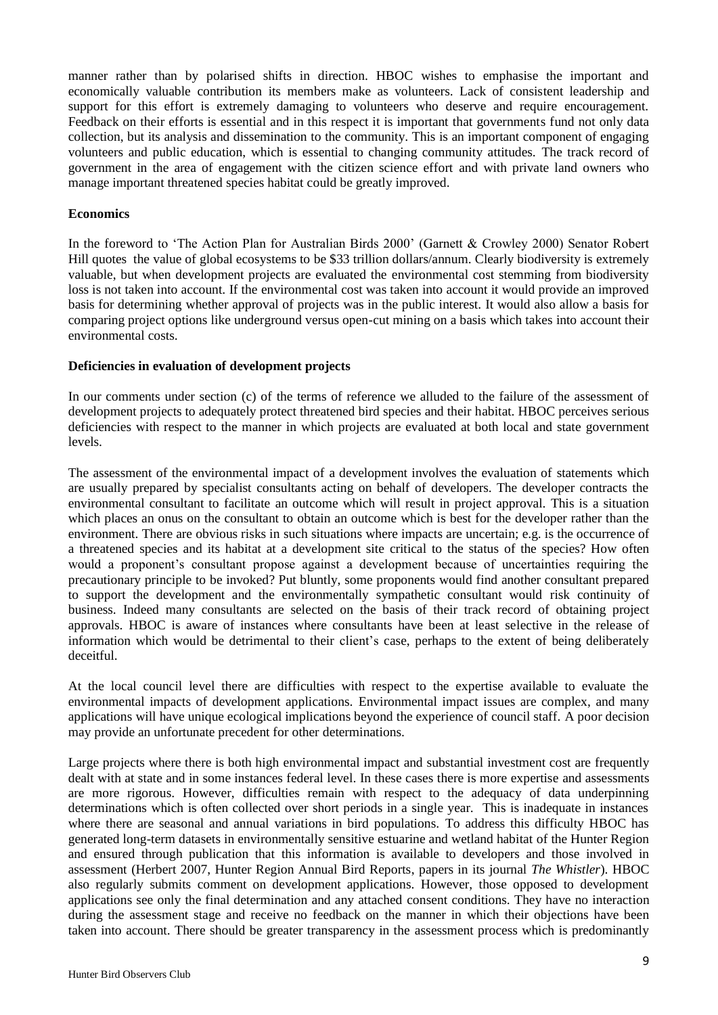manner rather than by polarised shifts in direction. HBOC wishes to emphasise the important and economically valuable contribution its members make as volunteers. Lack of consistent leadership and support for this effort is extremely damaging to volunteers who deserve and require encouragement. Feedback on their efforts is essential and in this respect it is important that governments fund not only data collection, but its analysis and dissemination to the community. This is an important component of engaging volunteers and public education, which is essential to changing community attitudes. The track record of government in the area of engagement with the citizen science effort and with private land owners who manage important threatened species habitat could be greatly improved.

#### **Economics**

In the foreword to 'The Action Plan for Australian Birds 2000' (Garnett & Crowley 2000) Senator Robert Hill quotes the value of global ecosystems to be \$33 trillion dollars/annum. Clearly biodiversity is extremely valuable, but when development projects are evaluated the environmental cost stemming from biodiversity loss is not taken into account. If the environmental cost was taken into account it would provide an improved basis for determining whether approval of projects was in the public interest. It would also allow a basis for comparing project options like underground versus open-cut mining on a basis which takes into account their environmental costs.

#### **Deficiencies in evaluation of development projects**

In our comments under section (c) of the terms of reference we alluded to the failure of the assessment of development projects to adequately protect threatened bird species and their habitat. HBOC perceives serious deficiencies with respect to the manner in which projects are evaluated at both local and state government levels.

The assessment of the environmental impact of a development involves the evaluation of statements which are usually prepared by specialist consultants acting on behalf of developers. The developer contracts the environmental consultant to facilitate an outcome which will result in project approval. This is a situation which places an onus on the consultant to obtain an outcome which is best for the developer rather than the environment. There are obvious risks in such situations where impacts are uncertain; e.g. is the occurrence of a threatened species and its habitat at a development site critical to the status of the species? How often would a proponent's consultant propose against a development because of uncertainties requiring the precautionary principle to be invoked? Put bluntly, some proponents would find another consultant prepared to support the development and the environmentally sympathetic consultant would risk continuity of business. Indeed many consultants are selected on the basis of their track record of obtaining project approvals. HBOC is aware of instances where consultants have been at least selective in the release of information which would be detrimental to their client's case, perhaps to the extent of being deliberately deceitful.

At the local council level there are difficulties with respect to the expertise available to evaluate the environmental impacts of development applications. Environmental impact issues are complex, and many applications will have unique ecological implications beyond the experience of council staff. A poor decision may provide an unfortunate precedent for other determinations.

Large projects where there is both high environmental impact and substantial investment cost are frequently dealt with at state and in some instances federal level. In these cases there is more expertise and assessments are more rigorous. However, difficulties remain with respect to the adequacy of data underpinning determinations which is often collected over short periods in a single year. This is inadequate in instances where there are seasonal and annual variations in bird populations. To address this difficulty HBOC has generated long-term datasets in environmentally sensitive estuarine and wetland habitat of the Hunter Region and ensured through publication that this information is available to developers and those involved in assessment (Herbert 2007, Hunter Region Annual Bird Reports, papers in its journal *The Whistler*). HBOC also regularly submits comment on development applications. However, those opposed to development applications see only the final determination and any attached consent conditions. They have no interaction during the assessment stage and receive no feedback on the manner in which their objections have been taken into account. There should be greater transparency in the assessment process which is predominantly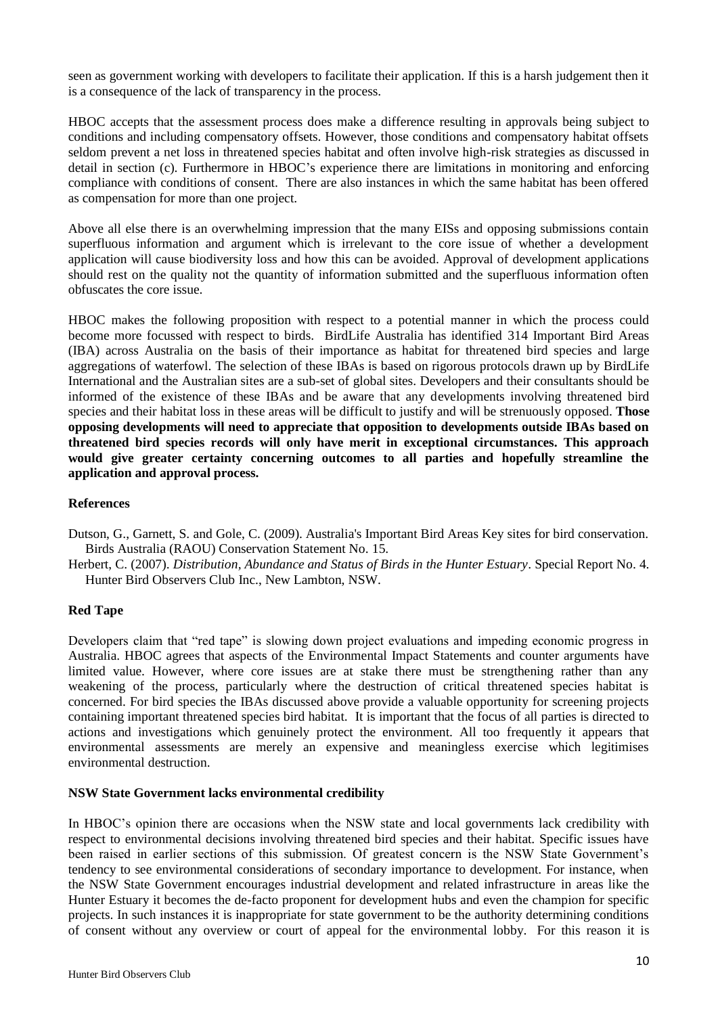seen as government working with developers to facilitate their application. If this is a harsh judgement then it is a consequence of the lack of transparency in the process.

HBOC accepts that the assessment process does make a difference resulting in approvals being subject to conditions and including compensatory offsets. However, those conditions and compensatory habitat offsets seldom prevent a net loss in threatened species habitat and often involve high-risk strategies as discussed in detail in section (c). Furthermore in HBOC's experience there are limitations in monitoring and enforcing compliance with conditions of consent. There are also instances in which the same habitat has been offered as compensation for more than one project.

Above all else there is an overwhelming impression that the many EISs and opposing submissions contain superfluous information and argument which is irrelevant to the core issue of whether a development application will cause biodiversity loss and how this can be avoided. Approval of development applications should rest on the quality not the quantity of information submitted and the superfluous information often obfuscates the core issue.

HBOC makes the following proposition with respect to a potential manner in which the process could become more focussed with respect to birds. BirdLife Australia has identified 314 Important Bird Areas (IBA) across Australia on the basis of their importance as habitat for threatened bird species and large aggregations of waterfowl. The selection of these IBAs is based on rigorous protocols drawn up by BirdLife International and the Australian sites are a sub-set of global sites. Developers and their consultants should be informed of the existence of these IBAs and be aware that any developments involving threatened bird species and their habitat loss in these areas will be difficult to justify and will be strenuously opposed. **Those opposing developments will need to appreciate that opposition to developments outside IBAs based on threatened bird species records will only have merit in exceptional circumstances. This approach would give greater certainty concerning outcomes to all parties and hopefully streamline the application and approval process.**

## **References**

Dutson, G., Garnett, S. and Gole, C. (2009). Australia's Important Bird Areas Key sites for bird conservation. Birds Australia (RAOU) Conservation Statement No. 15.

Herbert, C. (2007). *Distribution, Abundance and Status of Birds in the Hunter Estuary*. Special Report No. 4. Hunter Bird Observers Club Inc., New Lambton, NSW.

#### **Red Tape**

Developers claim that "red tape" is slowing down project evaluations and impeding economic progress in Australia. HBOC agrees that aspects of the Environmental Impact Statements and counter arguments have limited value. However, where core issues are at stake there must be strengthening rather than any weakening of the process, particularly where the destruction of critical threatened species habitat is concerned. For bird species the IBAs discussed above provide a valuable opportunity for screening projects containing important threatened species bird habitat. It is important that the focus of all parties is directed to actions and investigations which genuinely protect the environment. All too frequently it appears that environmental assessments are merely an expensive and meaningless exercise which legitimises environmental destruction.

#### **NSW State Government lacks environmental credibility**

In HBOC's opinion there are occasions when the NSW state and local governments lack credibility with respect to environmental decisions involving threatened bird species and their habitat. Specific issues have been raised in earlier sections of this submission. Of greatest concern is the NSW State Government's tendency to see environmental considerations of secondary importance to development. For instance, when the NSW State Government encourages industrial development and related infrastructure in areas like the Hunter Estuary it becomes the de-facto proponent for development hubs and even the champion for specific projects. In such instances it is inappropriate for state government to be the authority determining conditions of consent without any overview or court of appeal for the environmental lobby. For this reason it is